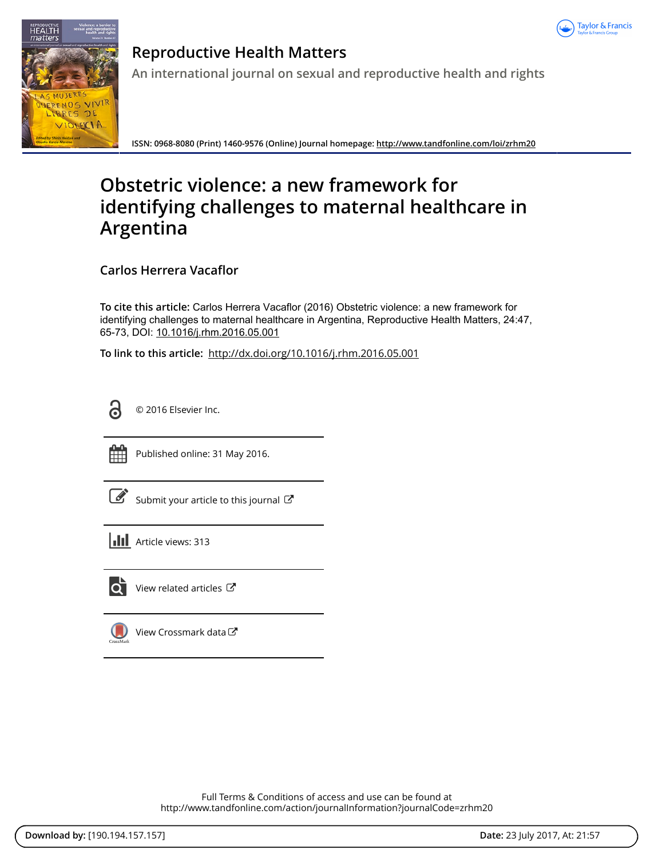



## **Reproductive Health Matters An international journal on sexual and reproductive health and rights**

**ISSN: 0968-8080 (Print) 1460-9576 (Online) Journal homepage:<http://www.tandfonline.com/loi/zrhm20>**

# **Obstetric violence: a new framework for identifying challenges to maternal healthcare in Argentina**

**Carlos Herrera Vacaflor**

**To cite this article:** Carlos Herrera Vacaflor (2016) Obstetric violence: a new framework for identifying challenges to maternal healthcare in Argentina, Reproductive Health Matters, 24:47, 65-73, DOI: [10.1016/j.rhm.2016.05.001](http://www.tandfonline.com/action/showCitFormats?doi=10.1016/j.rhm.2016.05.001)

**To link to this article:** <http://dx.doi.org/10.1016/j.rhm.2016.05.001>



© 2016 Elsevier Inc.



Published online: 31 May 2016.

|--|

[Submit your article to this journal](http://www.tandfonline.com/action/authorSubmission?journalCode=zrhm20&show=instructions)  $\mathbb{Z}$ 

**III** Article views: 313



 $\overline{Q}$  [View related articles](http://www.tandfonline.com/doi/mlt/10.1016/j.rhm.2016.05.001)  $\overline{C}$ 

[View Crossmark data](http://crossmark.crossref.org/dialog/?doi=10.1016/j.rhm.2016.05.001&domain=pdf&date_stamp=2016-05-31)<sup>√</sup>

Full Terms & Conditions of access and use can be found at <http://www.tandfonline.com/action/journalInformation?journalCode=zrhm20>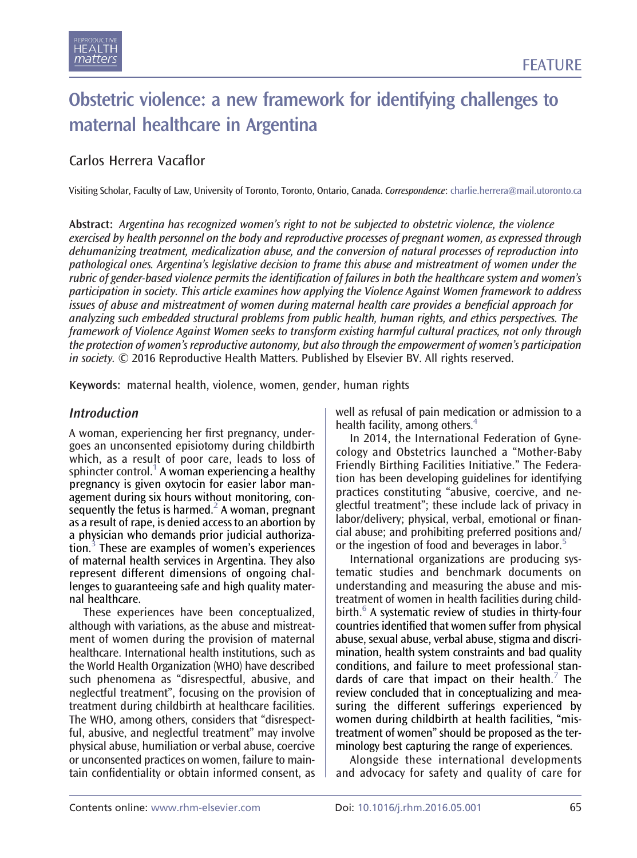## Obstetric violence: a new framework for identifying challenges to maternal healthcare in Argentina

## Carlos Herrera Vacaflor

Visiting Scholar, Faculty of Law, University of Toronto, Toronto, Ontario, Canada. Correspondence: [charlie.herrera@mail.utoronto.ca](mailto:)

Abstract: Argentina has recognized women's right to not be subjected to obstetric violence, the violence exercised by health personnel on the body and reproductive processes of pregnant women, as expressed through dehumanizing treatment, medicalization abuse, and the conversion of natural processes of reproduction into pathological ones. Argentina's legislative decision to frame this abuse and mistreatment of women under the rubric of gender-based violence permits the identification of failures in both the healthcare system and women's participation in society. This article examines how applying the Violence Against Women framework to address issues of abuse and mistreatment of women during maternal health care provides a beneficial approach for analyzing such embedded structural problems from public health, human rights, and ethics perspectives. The framework of Violence Against Women seeks to transform existing harmful cultural practices, not only through the protection of women's reproductive autonomy, but also through the empowerment of women's participation in society. © 2016 Reproductive Health Matters. Published by Elsevier BV. All rights reserved.

Keywords: maternal health, violence, women, gender, human rights

#### Introduction

A woman, experiencing her first pregnancy, undergoes an unconsented episiotomy during childbirth which, as a result of poor care, leads to loss of sphincter control.<sup>1</sup> A woman experiencing a healthy pregnancy is given oxytocin for easier labor management during six hours without monitoring, consequently the fetus is harmed. $<sup>2</sup>$  $<sup>2</sup>$  $<sup>2</sup>$  A woman, pregnant</sup> as a result of rape, is denied access to an abortion by a physician who demands prior judicial authorization. $3$  These are examples of women's experiences of maternal health services in Argentina. They also represent different dimensions of ongoing challenges to guaranteeing safe and high quality maternal healthcare.

These experiences have been conceptualized, although with variations, as the abuse and mistreatment of women during the provision of maternal healthcare. International health institutions, such as the World Health Organization (WHO) have described such phenomena as "disrespectful, abusive, and neglectful treatment", focusing on the provision of treatment during childbirth at healthcare facilities. The WHO, among others, considers that "disrespectful, abusive, and neglectful treatment" may involve physical abuse, humiliation or verbal abuse, coercive or unconsented practices on women, failure to maintain confidentiality or obtain informed consent, as well as refusal of pain medication or admission to a health facility, among others.<sup>4</sup>

In 2014, the International Federation of Gynecology and Obstetrics launched a "Mother-Baby Friendly Birthing Facilities Initiative." The Federation has been developing guidelines for identifying practices constituting "abusive, coercive, and neglectful treatment"; these include lack of privacy in labor/delivery; physical, verbal, emotional or financial abuse; and prohibiting preferred positions and/ or the ingestion of food and beverages in labor.<sup>5</sup>

International organizations are producing systematic studies and benchmark documents on understanding and measuring the abuse and mistreatment of women in health facilities during child-birth.<sup>[6](#page-7-0)</sup> A systematic review of studies in thirty-four countries identified that women suffer from physical abuse, sexual abuse, verbal abuse, stigma and discrimination, health system constraints and bad quality conditions, and failure to meet professional stan-dards of care that impact on their health.<sup>[7](#page-7-0)</sup> The review concluded that in conceptualizing and measuring the different sufferings experienced by women during childbirth at health facilities, "mistreatment of women" should be proposed as the terminology best capturing the range of experiences.

Alongside these international developments and advocacy for safety and quality of care for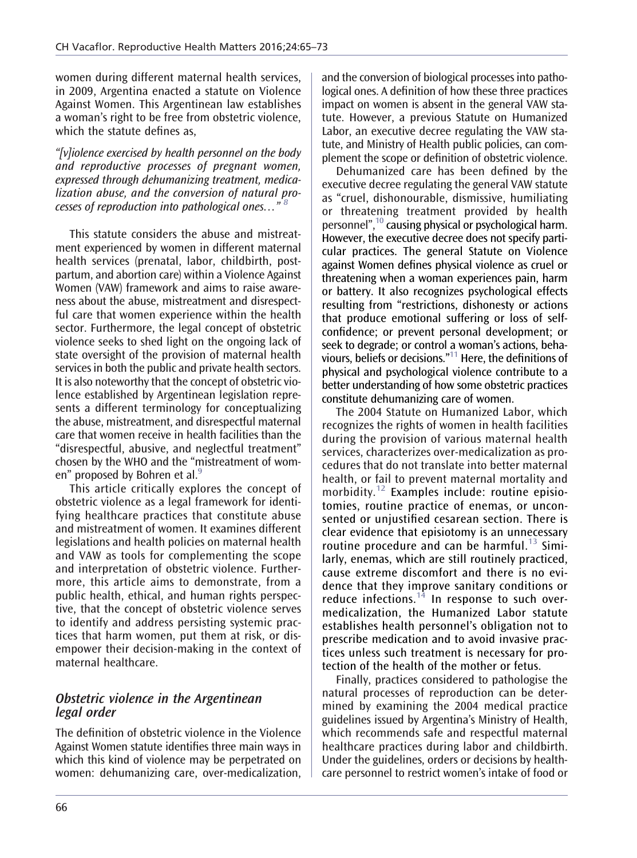women during different maternal health services, in 2009, Argentina enacted a statute on Violence Against Women. This Argentinean law establishes a woman's right to be free from obstetric violence, which the statute defines as,

"[v]iolence exercised by health personnel on the body and reproductive processes of pregnant women, expressed through dehumanizing treatment, medicalization abuse, and the conversion of natural [p](#page-7-0)rocesses of reproduction into pathological ones..."

This statute considers the abuse and mistreatment experienced by women in different maternal health services (prenatal, labor, childbirth, postpartum, and abortion care) within a Violence Against Women (VAW) framework and aims to raise awareness about the abuse, mistreatment and disrespectful care that women experience within the health sector. Furthermore, the legal concept of obstetric violence seeks to shed light on the ongoing lack of state oversight of the provision of maternal health services in both the public and private health sectors. It is also noteworthy that the concept of obstetric violence established by Argentinean legislation represents a different terminology for conceptualizing the abuse, mistreatment, and disrespectful maternal care that women receive in health facilities than the "disrespectful, abusive, and neglectful treatment" chosen by the WHO and the "mistreatment of women" proposed by Bohren et al.<sup>9</sup>

This article critically explores the concept of obstetric violence as a legal framework for identifying healthcare practices that constitute abuse and mistreatment of women. It examines different legislations and health policies on maternal health and VAW as tools for complementing the scope and interpretation of obstetric violence. Furthermore, this article aims to demonstrate, from a public health, ethical, and human rights perspective, that the concept of obstetric violence serves to identify and address persisting systemic practices that harm women, put them at risk, or disempower their decision-making in the context of maternal healthcare.

#### Obstetric violence in the Argentinean legal order

The definition of obstetric violence in the Violence Against Women statute identifies three main ways in which this kind of violence may be perpetrated on women: dehumanizing care, over-medicalization,

and the conversion of biological processes into pathological ones. A definition of how these three practices impact on women is absent in the general VAW statute. However, a previous Statute on Humanized Labor, an executive decree regulating the VAW statute, and Ministry of Health public policies, can complement the scope or definition of obstetric violence.

Dehumanized care has been defined by the executive decree regulating the general VAW statute as "cruel, dishonourable, dismissive, humiliating or threatening treatment provided by health personnel",<sup>[10](#page-7-0)</sup> causing physical or psychological harm. However, the executive decree does not specify particular practices. The general Statute on Violence against Women defines physical violence as cruel or threatening when a woman experiences pain, harm or battery. It also recognizes psychological effects resulting from "restrictions, dishonesty or actions that produce emotional suffering or loss of selfconfidence; or prevent personal development; or seek to degrade; or control a woman's actions, behaviours, beliefs or decisions." [11](#page-7-0) Here, the definitions of physical and psychological violence contribute to a better understanding of how some obstetric practices constitute dehumanizing care of women.

The 2004 Statute on Humanized Labor, which recognizes the rights of women in health facilities during the provision of various maternal health services, characterizes over-medicalization as procedures that do not translate into better maternal health, or fail to prevent maternal mortality and morbidity.<sup>[12](#page-7-0)</sup> Examples include: routine episiotomies, routine practice of enemas, or unconsented or unjustified cesarean section. There is clear evidence that episiotomy is an unnecessary routine procedure and can be harmful.<sup>[13](#page-7-0)</sup> Similarly, enemas, which are still routinely practiced, cause extreme discomfort and there is no evidence that they improve sanitary conditions or reduce infections. $14$  In response to such overmedicalization, the Humanized Labor statute establishes health personnel's obligation not to prescribe medication and to avoid invasive practices unless such treatment is necessary for protection of the health of the mother or fetus.

Finally, practices considered to pathologise the natural processes of reproduction can be determined by examining the 2004 medical practice guidelines issued by Argentina's Ministry of Health, which recommends safe and respectful maternal healthcare practices during labor and childbirth. Under the guidelines, orders or decisions by healthcare personnel to restrict women's intake of food or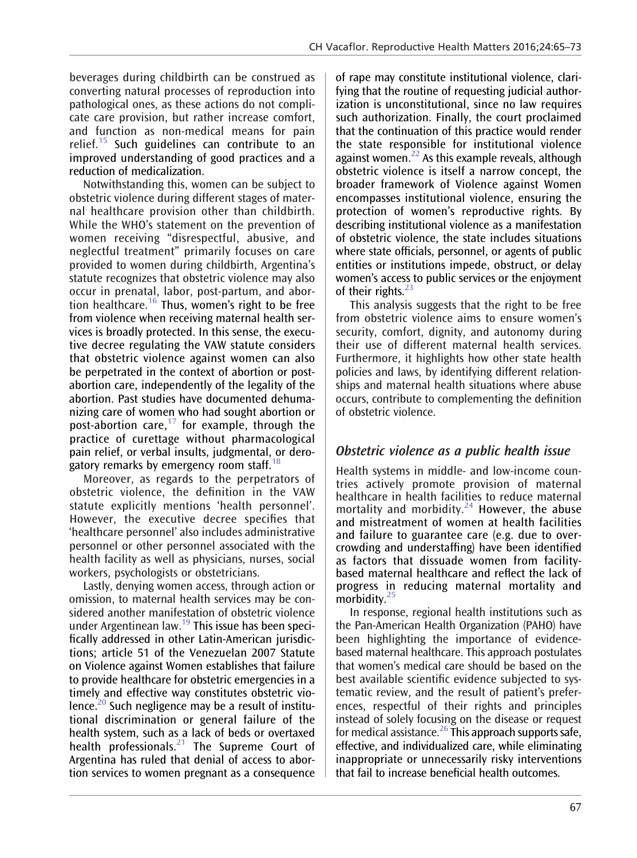beverages during childbirth can be construed as converting natural processes of reproduction into pathological ones, as these actions do not complicate care provision, but rather increase comfort, and function as non-medical means for pain relief.<sup>[15](#page-7-0)</sup> Such guidelines can contribute to an improved understanding of good practices and a reduction of medicalization.

Notwithstanding this, women can be subject to obstetric violence during different stages of maternal healthcare provision other than childbirth. While the WHO's statement on the prevention of women receiving "disrespectful, abusive, and neglectful treatment" primarily focuses on care provided to women during childbirth, Argentina's statute recognizes that obstetric violence may also occur in prenatal, labor, post-partum, and abor-tion healthcare.<sup>[16](#page-7-0)</sup> Thus, women's right to be free from violence when receiving maternal health services is broadly protected. In this sense, the executive decree regulating the VAW statute considers that obstetric violence against women can also be perpetrated in the context of abortion or postabortion care, independently of the legality of the abortion. Past studies have documented dehumanizing care of women who had sought abortion or post-abortion care,<sup>[17](#page-7-0)</sup> for example, through the practice of curettage without pharmacological pain relief, or verbal insults, judgmental, or dero-gatory remarks by emergency room staff.<sup>[18](#page-8-0)</sup>

Moreover, as regards to the perpetrators of obstetric violence, the definition in the VAW statute explicitly mentions 'health personnel'. However, the executive decree specifies that 'healthcare personnel' also includes administrative personnel or other personnel associated with the health facility as well as physicians, nurses, social workers, psychologists or obstetricians.

Lastly, denying women access, through action or omission, to maternal health services may be considered another manifestation of obstetric violence under Argentinean law.<sup>[19](#page-8-0)</sup> This issue has been specifically addressed in other Latin-American jurisdictions; article 51 of the Venezuelan 2007 Statute on Violence against Women establishes that failure to provide healthcare for obstetric emergencies in a timely and effective way constitutes obstetric vio-lence.<sup>[20](#page-8-0)</sup> Such negligence may be a result of institutional discrimination or general failure of the health system, such as a lack of beds or overtaxed health professionals.<sup>[21](#page-8-0)</sup> The Supreme Court of Argentina has ruled that denial of access to abortion services to women pregnant as a consequence of rape may constitute institutional violence, clarifying that the routine of requesting judicial authorization is unconstitutional, since no law requires such authorization. Finally, the court proclaimed that the continuation of this practice would render the state responsible for institutional violence against women.<sup>[22](#page-8-0)</sup> As this example reveals, although obstetric violence is itself a narrow concept, the broader framework of Violence against Women encompasses institutional violence, ensuring the protection of women's reproductive rights. By describing institutional violence as a manifestation of obstetric violence, the state includes situations where state officials, personnel, or agents of public entities or institutions impede, obstruct, or delay women's access to public services or the enjoyment of their rights.<sup>23</sup>

This analysis suggests that the right to be free from obstetric violence aims to ensure women's security, comfort, dignity, and autonomy during their use of different maternal health services. Furthermore, it highlights how other state health policies and laws, by identifying different relationships and maternal health situations where abuse occurs, contribute to complementing the definition of obstetric violence.

### Obstetric violence as a public health issue

Health systems in middle- and low-income countries actively promote provision of maternal healthcare in health facilities to reduce maternal mortality and morbidity. $24$  However, the abuse and mistreatment of women at health facilities and failure to guarantee care (e.g. due to overcrowding and understaffing) have been identified as factors that dissuade women from facilitybased maternal healthcare and reflect the lack of progress in reducing maternal mortality and morbidity.<sup>[25](#page-8-0)</sup>

In response, regional health institutions such as the Pan-American Health Organization (PAHO) have been highlighting the importance of evidencebased maternal healthcare. This approach postulates that women's medical care should be based on the best available scientific evidence subjected to systematic review, and the result of patient's preferences, respectful of their rights and principles instead of solely focusing on the disease or request for medical assistance.<sup>26</sup> This approach supports safe, effective, and individualized care, while eliminating inappropriate or unnecessarily risky interventions that fail to increase beneficial health outcomes.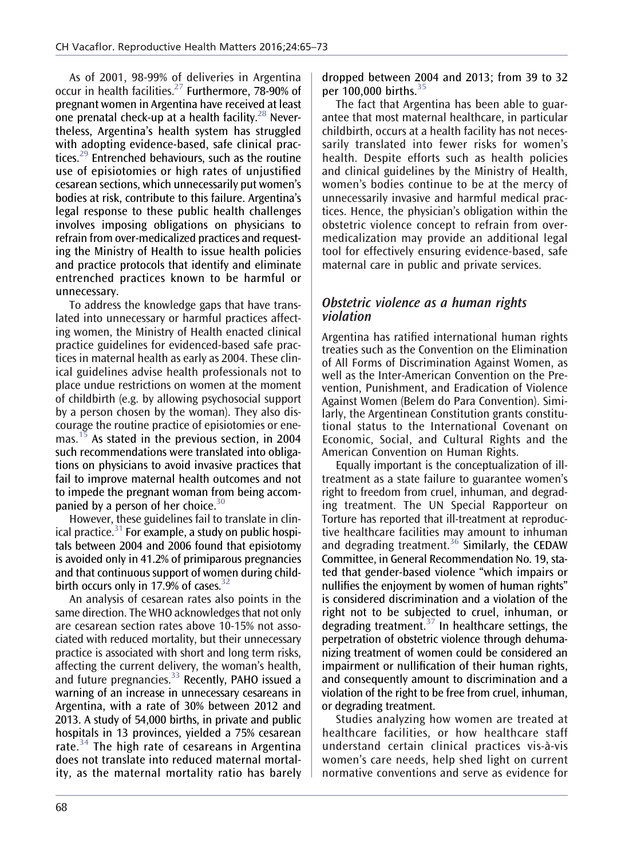As of 2001, 98-99% of deliveries in Argentina occur in health facilities.<sup>[27](#page-8-0)</sup> Furthermore, 78-90% of pregnant women in Argentina have received at least one prenatal check-up at a health facility.<sup>28</sup> Nevertheless, Argentina's health system has struggled with adopting evidence-based, safe clinical practices. $^{29}$  Entrenched behaviours, such as the routine use of episiotomies or high rates of unjustified cesarean sections, which unnecessarily put women's bodies at risk, contribute to this failure. Argentina's legal response to these public health challenges involves imposing obligations on physicians to refrain from over-medicalized practices and requesting the Ministry of Health to issue health policies and practice protocols that identify and eliminate entrenched practices known to be harmful or unnecessary.

To address the knowledge gaps that have translated into unnecessary or harmful practices affecting women, the Ministry of Health enacted clinical practice guidelines for evidenced-based safe practices in maternal health as early as 2004. These clinical guidelines advise health professionals not to place undue restrictions on women at the moment of childbirth (e.g. by allowing psychosocial support by a person chosen by the woman). They also discourage the routine practice of episiotomies or ene-mas.<sup>[15](#page-7-0)</sup> As stated in the previous section, in 2004 such recommendations were translated into obligations on physicians to avoid invasive practices that fail to improve maternal health outcomes and not to impede the pregnant woman from being accompanied by a person of her choice.<sup>30</sup>

However, these guidelines fail to translate in clin-ical practice.<sup>[31](#page-8-0)</sup> For example, a study on public hospitals between 2004 and 2006 found that episiotomy is avoided only in 41.2% of primiparous pregnancies and that continuous support of women during childbirth occurs only in 17.9% of cases.<sup>32</sup>

An analysis of cesarean rates also points in the same direction. The WHO acknowledges that not only are cesarean section rates above 10-15% not associated with reduced mortality, but their unnecessary practice is associated with short and long term risks, affecting the current delivery, the woman's health, and future pregnancies. $33$  Recently, PAHO issued a warning of an increase in unnecessary cesareans in Argentina, with a rate of 30% between 2012 and 2013. A study of 54,000 births, in private and public hospitals in 13 provinces, yielded a 75% cesarean rate. $34$  The high rate of cesareans in Argentina does not translate into reduced maternal mortality, as the maternal mortality ratio has barely dropped between 2004 and 2013; from 39 to 32 per 100,000 births.<sup>[35](#page-8-0)</sup>

The fact that Argentina has been able to guarantee that most maternal healthcare, in particular childbirth, occurs at a health facility has not necessarily translated into fewer risks for women's health. Despite efforts such as health policies and clinical guidelines by the Ministry of Health, women's bodies continue to be at the mercy of unnecessarily invasive and harmful medical practices. Hence, the physician's obligation within the obstetric violence concept to refrain from overmedicalization may provide an additional legal tool for effectively ensuring evidence-based, safe maternal care in public and private services.

#### Obstetric violence as a human rights violation

Argentina has ratified international human rights treaties such as the Convention on the Elimination of All Forms of Discrimination Against Women, as well as the Inter-American Convention on the Prevention, Punishment, and Eradication of Violence Against Women (Belem do Para Convention). Similarly, the Argentinean Constitution grants constitutional status to the International Covenant on Economic, Social, and Cultural Rights and the American Convention on Human Rights.

Equally important is the conceptualization of illtreatment as a state failure to guarantee women's right to freedom from cruel, inhuman, and degrading treatment. The UN Special Rapporteur on Torture has reported that ill-treatment at reproductive healthcare facilities may amount to inhuman and degrading treatment.<sup>[36](#page-8-0)</sup> Similarly, the CEDAW Committee, in General Recommendation No. 19, stated that gender-based violence "which impairs or nullifies the enjoyment by women of human rights" is considered discrimination and a violation of the right not to be subjected to cruel, inhuman, or degrading treatment.<sup>[37](#page-8-0)</sup> In healthcare settings, the perpetration of obstetric violence through dehumanizing treatment of women could be considered an impairment or nullification of their human rights, and consequently amount to discrimination and a violation of the right to be free from cruel, inhuman, or degrading treatment.

Studies analyzing how women are treated at healthcare facilities, or how healthcare staff understand certain clinical practices vis-à-vis women's care needs, help shed light on current normative conventions and serve as evidence for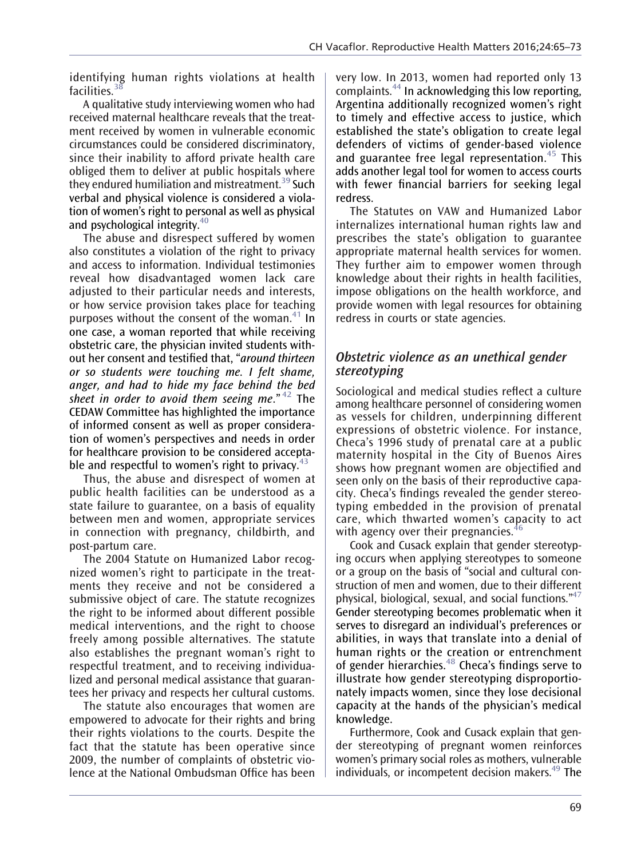identifying human rights violations at health facilities

A qualitative study interviewing women who had received maternal healthcare reveals that the treatment received by women in vulnerable economic circumstances could be considered discriminatory, since their inability to afford private health care obliged them to deliver at public hospitals where they endured humiliation and mistreatment.<sup>39</sup> Such verbal and physical violence is considered a violation of women's right to personal as well as physical and psychological integrity. $40$ 

The abuse and disrespect suffered by women also constitutes a violation of the right to privacy and access to information. Individual testimonies reveal how disadvantaged women lack care adjusted to their particular needs and interests, or how service provision takes place for teaching purposes without the consent of the woman. $41$  In one case, a woman reported that while receiving obstetric care, the physician invited students without her consent and testified that, "around thirteen or so students were touching me. I felt shame, anger, and had to hide my face behind the bed sheet in order to avoid them seeing me."  $42$  The CEDAW Committee has highlighted the importance of informed consent as well as proper consideration of women's perspectives and needs in order for healthcare provision to be considered acceptable and respectful to women's right to privacy. $4$ 

Thus, the abuse and disrespect of women at public health facilities can be understood as a state failure to guarantee, on a basis of equality between men and women, appropriate services in connection with pregnancy, childbirth, and post-partum care.

The 2004 Statute on Humanized Labor recognized women's right to participate in the treatments they receive and not be considered a submissive object of care. The statute recognizes the right to be informed about different possible medical interventions, and the right to choose freely among possible alternatives. The statute also establishes the pregnant woman's right to respectful treatment, and to receiving individualized and personal medical assistance that guarantees her privacy and respects her cultural customs.

The statute also encourages that women are empowered to advocate for their rights and bring their rights violations to the courts. Despite the fact that the statute has been operative since 2009, the number of complaints of obstetric violence at the National Ombudsman Office has been

very low. In 2013, women had reported only 13 complaints.[44](#page-8-0) In acknowledging this low reporting, Argentina additionally recognized women's right to timely and effective access to justice, which established the state's obligation to create legal defenders of victims of gender-based violence and guarantee free legal representation. $45$  This adds another legal tool for women to access courts with fewer financial barriers for seeking legal redress.

The Statutes on VAW and Humanized Labor internalizes international human rights law and prescribes the state's obligation to guarantee appropriate maternal health services for women. They further aim to empower women through knowledge about their rights in health facilities, impose obligations on the health workforce, and provide women with legal resources for obtaining redress in courts or state agencies.

#### Obstetric violence as an unethical gender stereotyping

Sociological and medical studies reflect a culture among healthcare personnel of considering women as vessels for children, underpinning different expressions of obstetric violence. For instance, Checa's 1996 study of prenatal care at a public maternity hospital in the City of Buenos Aires shows how pregnant women are objectified and seen only on the basis of their reproductive capacity. Checa's findings revealed the gender stereotyping embedded in the provision of prenatal care, which thwarted women's capacity to act with agency over their pregnancies. $\frac{4}{5}$ 

Cook and Cusack explain that gender stereotyping occurs when applying stereotypes to someone or a group on the basis of "social and cultural construction of men and women, due to their different physical, biological, sexual, and social functions."<sup>[47](#page-8-0)</sup> Gender stereotyping becomes problematic when it serves to disregard an individual's preferences or abilities, in ways that translate into a denial of human rights or the creation or entrenchment of gender hierarchies. $48$  Checa's findings serve to illustrate how gender stereotyping disproportionately impacts women, since they lose decisional capacity at the hands of the physician's medical knowledge.

Furthermore, Cook and Cusack explain that gender stereotyping of pregnant women reinforces women's primary social roles as mothers, vulnerable individuals, or incompetent decision makers. $49$  The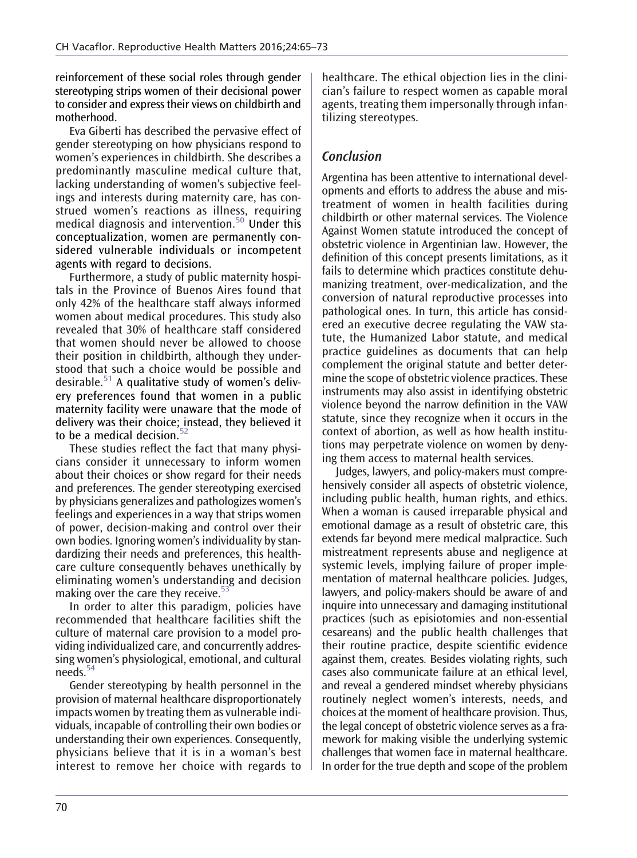reinforcement of these social roles through gender stereotyping strips women of their decisional power to consider and express their views on childbirth and motherhood.

Eva Giberti has described the pervasive effect of gender stereotyping on how physicians respond to women's experiences in childbirth. She describes a predominantly masculine medical culture that, lacking understanding of women's subjective feelings and interests during maternity care, has construed women's reactions as illness, requiring medical diagnosis and intervention. $50$  Under this conceptualization, women are permanently considered vulnerable individuals or incompetent agents with regard to decisions.

Furthermore, a study of public maternity hospitals in the Province of Buenos Aires found that only 42% of the healthcare staff always informed women about medical procedures. This study also revealed that 30% of healthcare staff considered that women should never be allowed to choose their position in childbirth, although they understood that such a choice would be possible and desirable. $51$  A qualitative study of women's delivery preferences found that women in a public maternity facility were unaware that the mode of delivery was their choice; instead, they believed it to be a medical decision.<sup>5</sup>

These studies reflect the fact that many physicians consider it unnecessary to inform women about their choices or show regard for their needs and preferences. The gender stereotyping exercised by physicians generalizes and pathologizes women's feelings and experiences in a way that strips women of power, decision-making and control over their own bodies. Ignoring women's individuality by standardizing their needs and preferences, this healthcare culture consequently behaves unethically by eliminating women's understanding and decision making over the care they receive. $5$ 

In order to alter this paradigm, policies have recommended that healthcare facilities shift the culture of maternal care provision to a model providing individualized care, and concurrently addressing women's physiological, emotional, and cultural needs. $54$ 

Gender stereotyping by health personnel in the provision of maternal healthcare disproportionately impacts women by treating them as vulnerable individuals, incapable of controlling their own bodies or understanding their own experiences. Consequently, physicians believe that it is in a woman's best interest to remove her choice with regards to healthcare. The ethical objection lies in the clinician's failure to respect women as capable moral agents, treating them impersonally through infantilizing stereotypes.

### Conclusion

Argentina has been attentive to international developments and efforts to address the abuse and mistreatment of women in health facilities during childbirth or other maternal services. The Violence Against Women statute introduced the concept of obstetric violence in Argentinian law. However, the definition of this concept presents limitations, as it fails to determine which practices constitute dehumanizing treatment, over-medicalization, and the conversion of natural reproductive processes into pathological ones. In turn, this article has considered an executive decree regulating the VAW statute, the Humanized Labor statute, and medical practice guidelines as documents that can help complement the original statute and better determine the scope of obstetric violence practices. These instruments may also assist in identifying obstetric violence beyond the narrow definition in the VAW statute, since they recognize when it occurs in the context of abortion, as well as how health institutions may perpetrate violence on women by denying them access to maternal health services.

Judges, lawyers, and policy-makers must comprehensively consider all aspects of obstetric violence, including public health, human rights, and ethics. When a woman is caused irreparable physical and emotional damage as a result of obstetric care, this extends far beyond mere medical malpractice. Such mistreatment represents abuse and negligence at systemic levels, implying failure of proper implementation of maternal healthcare policies. Judges, lawyers, and policy-makers should be aware of and inquire into unnecessary and damaging institutional practices (such as episiotomies and non-essential cesareans) and the public health challenges that their routine practice, despite scientific evidence against them, creates. Besides violating rights, such cases also communicate failure at an ethical level, and reveal a gendered mindset whereby physicians routinely neglect women's interests, needs, and choices at the moment of healthcare provision. Thus, the legal concept of obstetric violence serves as a framework for making visible the underlying systemic challenges that women face in maternal healthcare. In order for the true depth and scope of the problem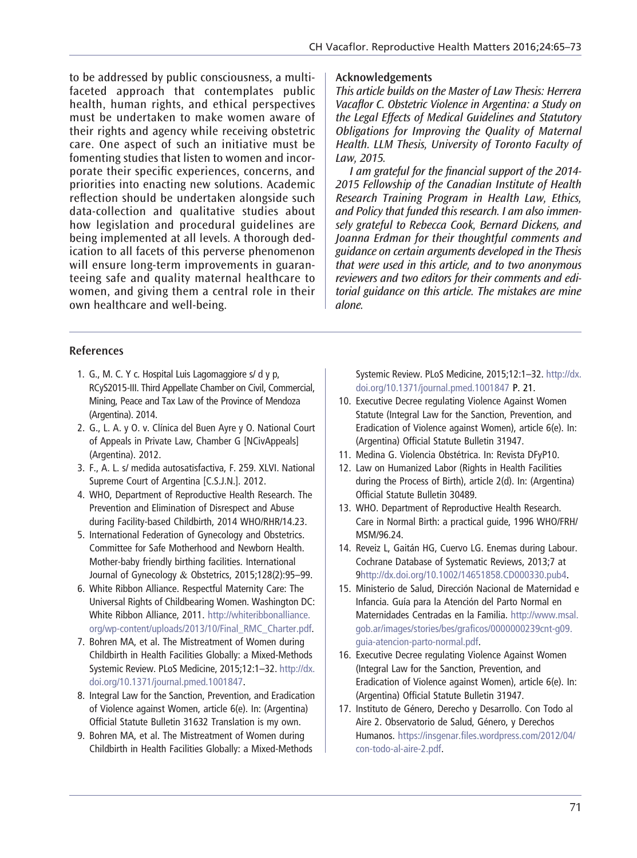<span id="page-7-0"></span>to be addressed by public consciousness, a multifaceted approach that contemplates public health, human rights, and ethical perspectives must be undertaken to make women aware of their rights and agency while receiving obstetric care. One aspect of such an initiative must be fomenting studies that listen to women and incorporate their specific experiences, concerns, and priorities into enacting new solutions. Academic reflection should be undertaken alongside such data-collection and qualitative studies about how legislation and procedural guidelines are being implemented at all levels. A thorough dedication to all facets of this perverse phenomenon will ensure long-term improvements in guaranteeing safe and quality maternal healthcare to women, and giving them a central role in their own healthcare and well-being.

#### Acknowledgements

This article builds on the Master of Law Thesis: Herrera Vacaflor C. Obstetric Violence in Argentina: a Study on the Legal Effects of Medical Guidelines and Statutory Obligations for Improving the Quality of Maternal Health. LLM Thesis, University of Toronto Faculty of Law, 2015.

I am grateful for the financial support of the 2014- 2015 Fellowship of the Canadian Institute of Health Research Training Program in Health Law, Ethics, and Policy that funded this research. I am also immensely grateful to Rebecca Cook, Bernard Dickens, and Joanna Erdman for their thoughtful comments and guidance on certain arguments developed in the Thesis that were used in this article, and to two anonymous reviewers and two editors for their comments and editorial guidance on this article. The mistakes are mine alone.

#### References

- 1. G., M. C. Y c. Hospital Luis Lagomaggiore s/ d y p, RCyS2015-III. Third Appellate Chamber on Civil, Commercial, Mining, Peace and Tax Law of the Province of Mendoza (Argentina). 2014.
- 2. G., L. A. y O. v. Clínica del Buen Ayre y O. National Court of Appeals in Private Law, Chamber G [NCivAppeals] (Argentina). 2012.
- 3. F., A. L. s/ medida autosatisfactiva, F. 259. XLVI. National Supreme Court of Argentina [C.S.J.N.]. 2012.
- 4. WHO, Department of Reproductive Health Research. The Prevention and Elimination of Disrespect and Abuse during Facility-based Childbirth, 2014 WHO/RHR/14.23.
- 5. International Federation of Gynecology and Obstetrics. Committee for Safe Motherhood and Newborn Health. Mother-baby friendly birthing facilities. International Journal of Gynecology & Obstetrics, 2015;128(2):95–99.
- 6. White Ribbon Alliance. Respectful Maternity Care: The Universal Rights of Childbearing Women. Washington DC: White Ribbon Alliance, 2011. [http://whiteribbonalliance.](http://whiteribbonalliance.org/wp-content/uploads/2013/10/Final_RMC_Charter.pdf) [org/wp-content/uploads/2013/10/Final\\_RMC\\_Charter.pdf](http://whiteribbonalliance.org/wp-content/uploads/2013/10/Final_RMC_Charter.pdf).
- 7. Bohren MA, et al. The Mistreatment of Women during Childbirth in Health Facilities Globally: a Mixed-Methods Systemic Review. PLoS Medicine, 2015;12:1–32. http://dx. doi.org/10.1371/journal.pmed.1001847.
- 8. Integral Law for the Sanction, Prevention, and Eradication of Violence against Women, article 6(e). In: (Argentina) Official Statute Bulletin 31632 Translation is my own.
- 9. Bohren MA, et al. The Mistreatment of Women during Childbirth in Health Facilities Globally: a Mixed-Methods

Systemic Review. PLoS Medicine, 2015;12:1–32. http://dx. doi.org/10.1371/journal.pmed.1001847 P. 21.

- 10. Executive Decree regulating Violence Against Women Statute (Integral Law for the Sanction, Prevention, and Eradication of Violence against Women), article 6(e). In: (Argentina) Official Statute Bulletin 31947.
- 11. Medina G. Violencia Obstétrica. In: Revista DFyP10.
- 12. Law on Humanized Labor (Rights in Health Facilities during the Process of Birth), article 2(d). In: (Argentina) Official Statute Bulletin 30489.
- 13. WHO. Department of Reproductive Health Research. Care in Normal Birth: a practical guide, 1996 WHO/FRH/ MSM/96.24.
- 14. Reveiz L, Gaitán HG, Cuervo LG. Enemas during Labour. Cochrane Database of Systematic Reviews, 2013;7 at 9http://dx.doi.org/10.1002/14651858.CD000330.pub4.
- 15. Ministerio de Salud, Dirección Nacional de Maternidad e Infancia. Guía para la Atención del Parto Normal en Maternidades Centradas en la Familia. [http://www.msal.](http://www.msal.gob.ar/images/stories/bes/graficos/0000000239cnt-g09.guia-atencion-parto-normal.pdf) [gob.ar/images/stories/bes/gra](http://www.msal.gob.ar/images/stories/bes/graficos/0000000239cnt-g09.guia-atencion-parto-normal.pdf)ficos/0000000239cnt-g09. [guia-atencion-parto-normal.pdf.](http://www.msal.gob.ar/images/stories/bes/graficos/0000000239cnt-g09.guia-atencion-parto-normal.pdf)
- 16. Executive Decree regulating Violence Against Women (Integral Law for the Sanction, Prevention, and Eradication of Violence against Women), article 6(e). In: (Argentina) Official Statute Bulletin 31947.
- 17. Instituto de Género, Derecho y Desarrollo. Con Todo al Aire 2. Observatorio de Salud, Género, y Derechos Humanos. https://insgenar.fi[les.wordpress.com/2012/04/](https://insgenar.files.wordpress.com/2012/04/con-todo-al-aire-2.pdf) [con-todo-al-aire-2.pdf](https://insgenar.files.wordpress.com/2012/04/con-todo-al-aire-2.pdf).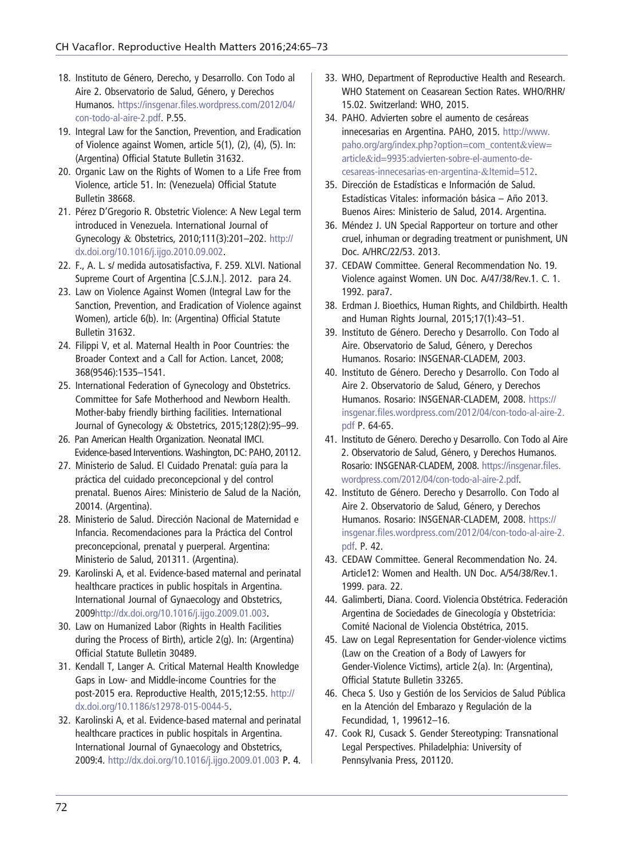- <span id="page-8-0"></span>18. Instituto de Género, Derecho, y Desarrollo. Con Todo al Aire 2. Observatorio de Salud, Género, y Derechos Humanos. https://insgenar.fi[les.wordpress.com/2012/04/](https://insgenar.files.wordpress.com/2012/04/con-todo-al-aire-2.pdf) [con-todo-al-aire-2.pdf.](https://insgenar.files.wordpress.com/2012/04/con-todo-al-aire-2.pdf) P.55.
- 19. Integral Law for the Sanction, Prevention, and Eradication of Violence against Women, article 5(1), (2), (4), (5). In: (Argentina) Official Statute Bulletin 31632.
- 20. Organic Law on the Rights of Women to a Life Free from Violence, article 51. In: (Venezuela) Official Statute Bulletin 38668.
- 21. Pérez D'Gregorio R. Obstetric Violence: A New Legal term introduced in Venezuela. International Journal of Gynecology & Obstetrics, 2010;111(3):201–202. http:// dx.doi.org/10.1016/j.ijgo.2010.09.002.
- 22. F., A. L. s/ medida autosatisfactiva, F. 259. XLVI. National Supreme Court of Argentina [C.S.J.N.]. 2012. para 24.
- 23. Law on Violence Against Women (Integral Law for the Sanction, Prevention, and Eradication of Violence against Women), article 6(b). In: (Argentina) Official Statute Bulletin 31632.
- 24. Filippi V, et al. Maternal Health in Poor Countries: the Broader Context and a Call for Action. Lancet, 2008; 368(9546):1535–1541.
- 25. International Federation of Gynecology and Obstetrics. Committee for Safe Motherhood and Newborn Health. Mother-baby friendly birthing facilities. International Journal of Gynecology & Obstetrics, 2015;128(2):95–99.
- 26. Pan American Health Organization. Neonatal IMCI. Evidence-based Interventions. Washington, DC: PAHO, 20112.
- 27. Ministerio de Salud. El Cuidado Prenatal: guía para la práctica del cuidado preconcepcional y del control prenatal. Buenos Aires: Ministerio de Salud de la Nación, 20014. (Argentina).
- 28. Ministerio de Salud. Dirección Nacional de Maternidad e Infancia. Recomendaciones para la Práctica del Control preconcepcional, prenatal y puerperal. Argentina: Ministerio de Salud, 201311. (Argentina).
- 29. Karolinski A, et al. Evidence-based maternal and perinatal healthcare practices in public hospitals in Argentina. International Journal of Gynaecology and Obstetrics, 2009http://dx.doi.org/10.1016/j.ijgo.2009.01.003.
- 30. Law on Humanized Labor (Rights in Health Facilities during the Process of Birth), article 2(g). In: (Argentina) Official Statute Bulletin 30489.
- 31. Kendall T, Langer A. Critical Maternal Health Knowledge Gaps in Low- and Middle-income Countries for the post-2015 era. Reproductive Health, 2015;12:55. http:// dx.doi.org/10.1186/s12978-015-0044-5.
- 32. Karolinski A, et al. Evidence-based maternal and perinatal healthcare practices in public hospitals in Argentina. International Journal of Gynaecology and Obstetrics, 2009:4. http://dx.doi.org/10.1016/j.ijgo.2009.01.003 P. 4.
- 33. WHO, Department of Reproductive Health and Research. WHO Statement on Ceasarean Section Rates. WHO/RHR/ 15.02. Switzerland: WHO, 2015.
- 34. PAHO. Advierten sobre el aumento de cesáreas innecesarias en Argentina. PAHO, 2015. [http://www.](http://www.paho.org/arg/index.php?option=com_content&view=article&id=9935:advierten-sobre-el-aumento-de-cesareas-innecesarias-en-argentina-&Itemid=512) [paho.org/arg/index.php?option=com\\_content](http://www.paho.org/arg/index.php?option=com_content&view=article&id=9935:advierten-sobre-el-aumento-de-cesareas-innecesarias-en-argentina-&Itemid=512)&view= article&[id=9935:advierten-sobre-el-aumento-de](http://www.paho.org/arg/index.php?option=com_content&view=article&id=9935:advierten-sobre-el-aumento-de-cesareas-innecesarias-en-argentina-&Itemid=512)[cesareas-innecesarias-en-argentina-](http://www.paho.org/arg/index.php?option=com_content&view=article&id=9935:advierten-sobre-el-aumento-de-cesareas-innecesarias-en-argentina-&Itemid=512)&Itemid=512.
- 35. Dirección de Estadísticas e Información de Salud. Estadísticas Vitales: información básica – Año 2013. Buenos Aires: Ministerio de Salud, 2014. Argentina.
- 36. Méndez J. UN Special Rapporteur on torture and other cruel, inhuman or degrading treatment or punishment, UN Doc. A/HRC/22/53. 2013.
- 37. CEDAW Committee. General Recommendation No. 19. Violence against Women. UN Doc. A/47/38/Rev.1. C. 1. 1992. para7.
- 38. Erdman J. Bioethics, Human Rights, and Childbirth. Health and Human Rights Journal, 2015;17(1):43–51.
- 39. Instituto de Género. Derecho y Desarrollo. Con Todo al Aire. Observatorio de Salud, Género, y Derechos Humanos. Rosario: INSGENAR-CLADEM, 2003.
- 40. Instituto de Género. Derecho y Desarrollo. Con Todo al Aire 2. Observatorio de Salud, Género, y Derechos Humanos. Rosario: INSGENAR-CLADEM, 2008. [https://](https://insgenar.files.wordpress.com/2012/04/con-todo-al-aire-2.pdf) insgenar.fi[les.wordpress.com/2012/04/con-todo-al-aire-2.](https://insgenar.files.wordpress.com/2012/04/con-todo-al-aire-2.pdf) [pdf](https://insgenar.files.wordpress.com/2012/04/con-todo-al-aire-2.pdf) P. 64-65.
- 41. Instituto de Género. Derecho y Desarrollo. Con Todo al Aire 2. Observatorio de Salud, Género, y Derechos Humanos. Rosario: INSGENAR-CLADEM, 2008. [https://insgenar.](https://insgenar.files.wordpress.com/2012/04/con-todo-al-aire-2.pdf)files. [wordpress.com/2012/04/con-todo-al-aire-2.pdf.](https://insgenar.files.wordpress.com/2012/04/con-todo-al-aire-2.pdf)
- 42. Instituto de Género. Derecho y Desarrollo. Con Todo al Aire 2. Observatorio de Salud, Género, y Derechos Humanos. Rosario: INSGENAR-CLADEM, 2008. [https://](https://insgenar.files.wordpress.com/2012/04/con-todo-al-aire-2.pdf) insgenar.fi[les.wordpress.com/2012/04/con-todo-al-aire-2.](https://insgenar.files.wordpress.com/2012/04/con-todo-al-aire-2.pdf) [pdf](https://insgenar.files.wordpress.com/2012/04/con-todo-al-aire-2.pdf). P. 42.
- 43. CEDAW Committee. General Recommendation No. 24. Article12: Women and Health. UN Doc. A/54/38/Rev.1. 1999. para. 22.
- 44. Galimberti, Diana. Coord. Violencia Obstétrica. Federación Argentina de Sociedades de Ginecología y Obstetricia: Comité Nacional de Violencia Obstétrica, 2015.
- 45. Law on Legal Representation for Gender-violence victims (Law on the Creation of a Body of Lawyers for Gender-Violence Victims), article 2(a). In: (Argentina), Official Statute Bulletin 33265.
- 46. Checa S. Uso y Gestión de los Servicios de Salud Pública en la Atención del Embarazo y Regulación de la Fecundidad, 1, 199612–16.
- 47. Cook RJ, Cusack S. Gender Stereotyping: Transnational Legal Perspectives. Philadelphia: University of Pennsylvania Press, 201120.